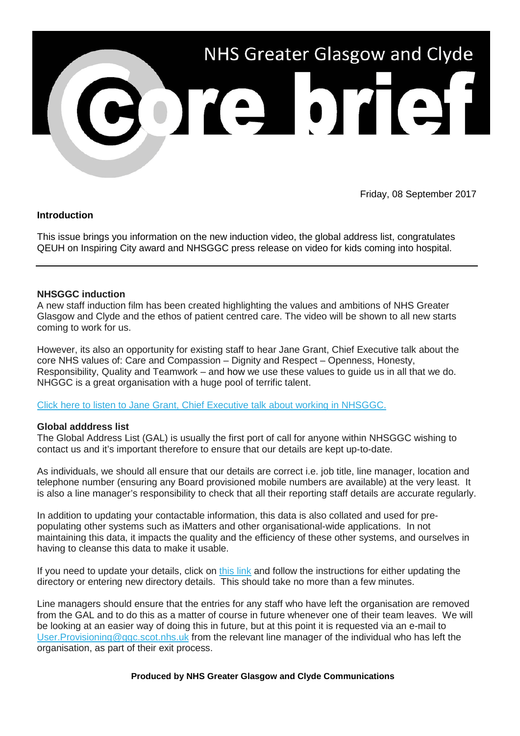

Friday, 08 September 2017

# **Introduction**

This issue brings you information on the new induction video, the global address list, congratulates QEUH on Inspiring City award and NHSGGC press release on video for kids coming into hospital.

### **NHSGGC induction**

A new staff induction film has been created highlighting the values and ambitions of NHS Greater Glasgow and Clyde and the ethos of patient centred care. The video will be shown to all new starts coming to work for us.

However, its also an opportunity for existing staff to hear Jane Grant, Chief Executive talk about the core NHS values of: Care and Compassion – Dignity and Respect – Openness, Honesty, Responsibility, Quality and Teamwork – and how we use these values to guide us in all that we do. NHGGC is a great organisation with a huge pool of terrific talent.

[Click here to listen to Jane Grant, Chief Executive talk about working in NHSGGC.](http://nhsggc.us12.list-manage.com/track/click?u=0f385b5aea37eaf0213bd19fb&id=bc3eec1573&e=5af5e1832c)

### **Global adddress list**

The Global Address List (GAL) is usually the first port of call for anyone within NHSGGC wishing to contact us and it's important therefore to ensure that our details are kept up-to-date.

As individuals, we should all ensure that our details are correct i.e. job title, line manager, location and telephone number (ensuring any Board provisioned mobile numbers are available) at the very least. It is also a line manager's responsibility to check that all their reporting staff details are accurate regularly.

In addition to updating your contactable information, this data is also collated and used for prepopulating other systems such as iMatters and other organisational-wide applications. In not maintaining this data, it impacts the quality and the efficiency of these other systems, and ourselves in having to cleanse this data to make it usable.

If you need to update your details, click on [this link](http://nhsggc.us12.list-manage.com/track/click?u=0f385b5aea37eaf0213bd19fb&id=49261f6194&e=5af5e1832c) and follow the instructions for either updating the directory or entering new directory details. This should take no more than a few minutes.

Line managers should ensure that the entries for any staff who have left the organisation are removed from the GAL and to do this as a matter of course in future whenever one of their team leaves. We will be looking at an easier way of doing this in future, but at this point it is requested via an e-mail to [User.Provisioning@ggc.scot.nhs.uk](mailto:User.Provisioning@ggc.scot.nhs.uk) from the relevant line manager of the individual who has left the organisation, as part of their exit process.

#### **Produced by NHS Greater Glasgow and Clyde Communications**